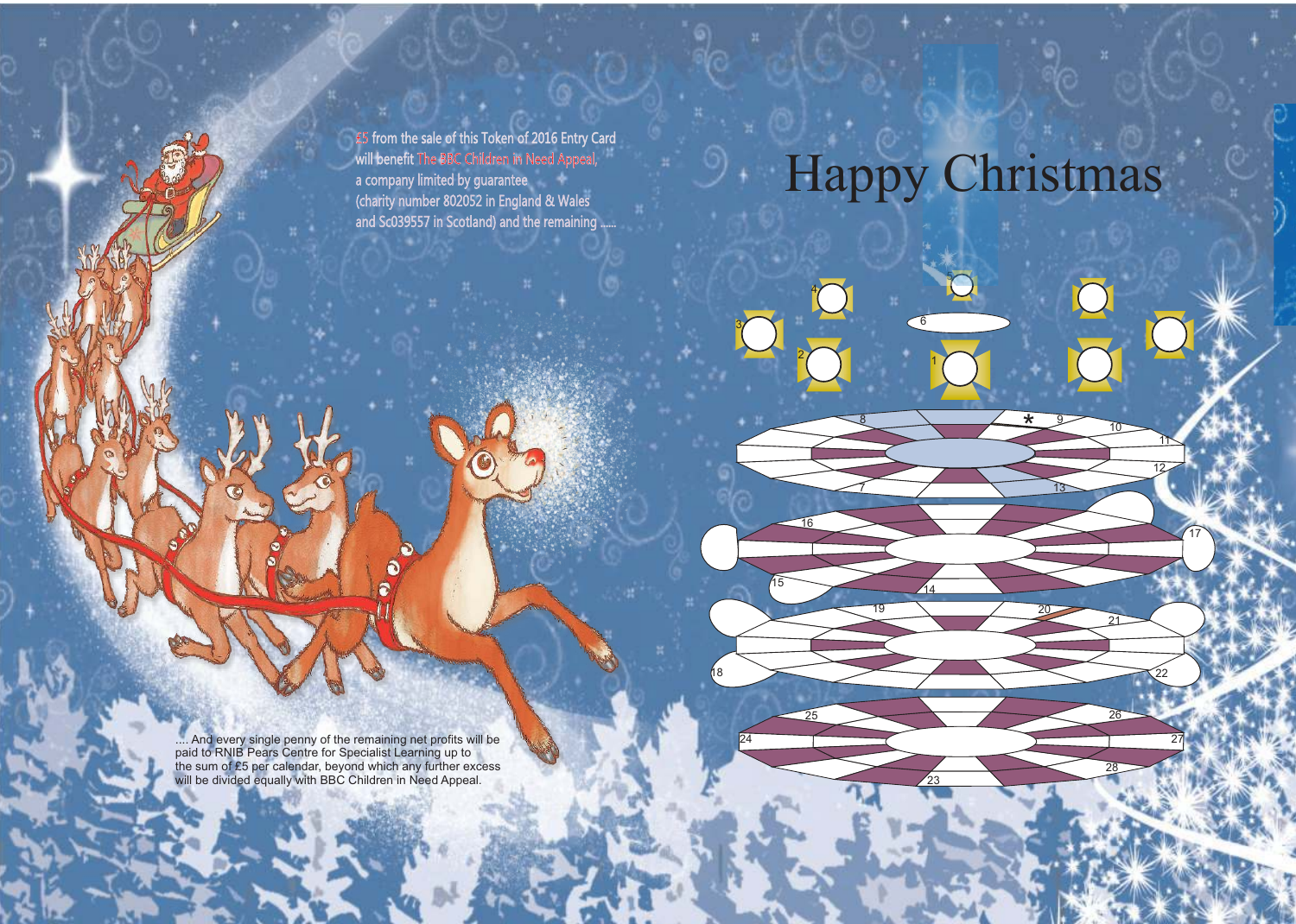£5 from the sale of this Token of 2016 Entry Card will benefit The BBC Children in Need Appeal, a company limited by guarantee (charity number 802052 in England & Wales and Sc039557 in Scotland) and the remaining ......

# Happy Christmas

5

8  $\rightarrow$  \* 9

\*

<u>13</u>

20

6

1

2

3

4

16

18

7

15 14

19

24 27 27

25 26

23

12

22

17

<u>11</u>

10

21

28

.... And every single penny of the remaining net profits will be paid to RNIB Pears Centre for Specialist Learning up to the sum of £5 per calendar, beyond which any further excess will be divided equally with BBC Children in Need Appeal.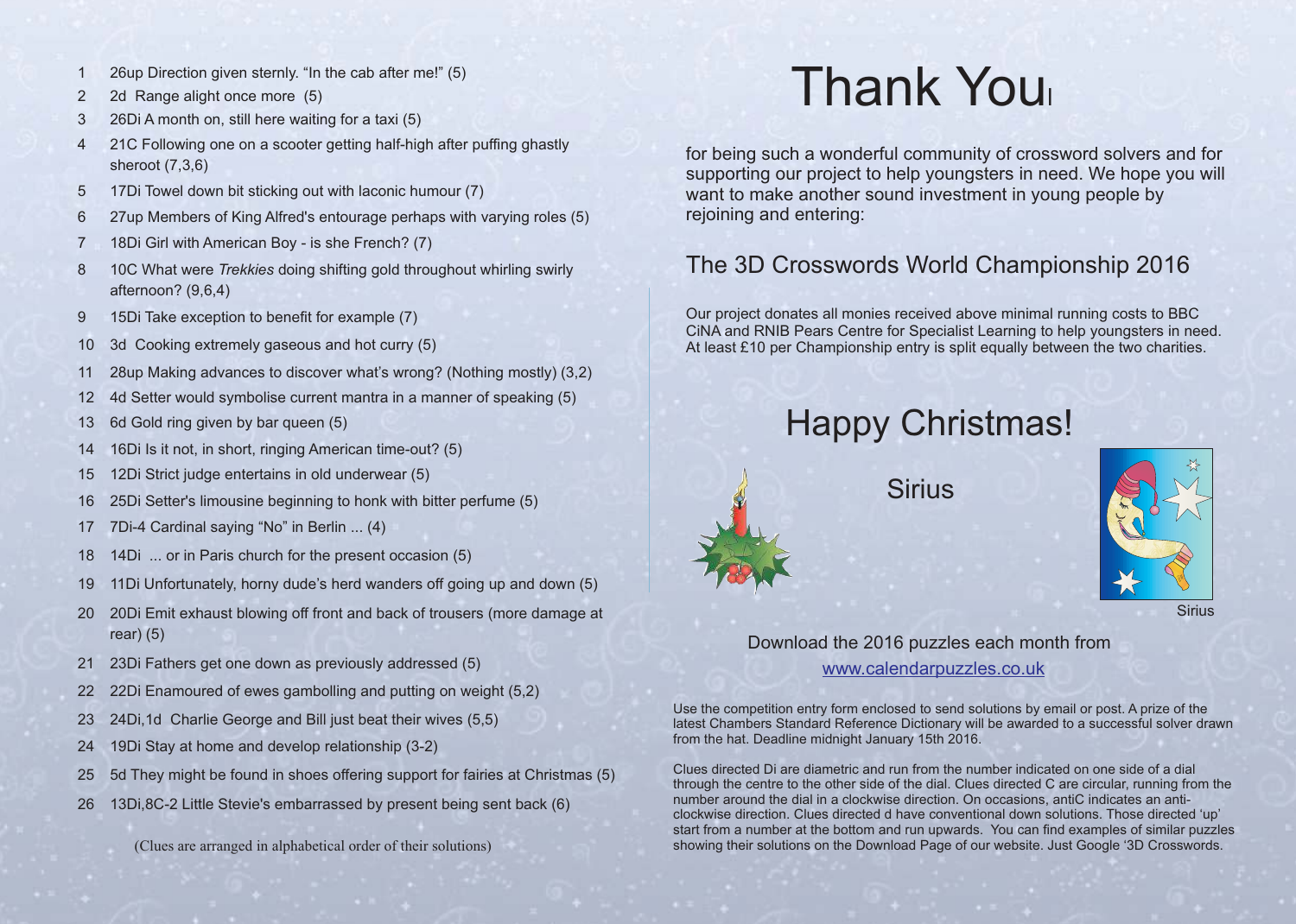- 1 26up Direction given sternly. "In the cab after me!" (5)
- 2 2d Range alight once more (5)
- 3 26Di A month on, still here waiting for a taxi (5)
- 4 21C Following one on a scooter getting half-high after puffing ghastly sheroot (7,3,6)
- 5 17Di Towel down bit sticking out with laconic humour (7)
- 6 27up Members of King Alfred's entourage perhaps with varying roles (5)
- 7 18Di Girl with American Boy is she French? (7)
- 8 10C What were *Trekkies* doing shifting gold throughout whirling swirly afternoon? (9,6,4)
- 9 15Di Take exception to benefit for example (7)
- 10 3d Cooking extremely gaseous and hot curry (5)
- 11 28up Making advances to discover what's wrong? (Nothing mostly) (3,2)
- 12 4d Setter would symbolise current mantra in a manner of speaking (5)
- 13 6d Gold ring given by bar queen (5)
- 14 16Di Is it not, in short, ringing American time-out? (5)
- 15 12Di Strict judge entertains in old underwear (5)
- 16 25Di Setter's limousine beginning to honk with bitter perfume (5)
- 17 7Di-4 Cardinal saying "No" in Berlin ... (4)
- 18 14Di ... or in Paris church for the present occasion (5)
- 19 11Di Unfortunately, horny dude's herd wanders off going up and down (5)
- 20 20Di Emit exhaust blowing off front and back of trousers (more damage at rear) (5)
- 21 23Di Fathers get one down as previously addressed (5)
- 22 22Di Enamoured of ewes gambolling and putting on weight (5,2)
- 23 24Di,1d Charlie George and Bill just beat their wives (5,5)
- 24 19Di Stay at home and develop relationship (3-2)
- 25 5d They might be found in shoes offering support for fairies at Christmas (5)
- 26 13Di,8C-2 Little Stevie's embarrassed by present being sent back (6)

(Clues are arranged in alphabetical order of their solutions)

## Thank You<sup>l</sup>

for being such a wonderful community of crossword solvers and for supporting our project to help youngsters in need. We hope you will want to make another sound investment in young people by rejoining and entering:

#### The 3D Crosswords World Championship 2016

Our project donates all monies received above minimal running costs to BBC CiNA and RNIB Pears Centre for Specialist Learning to help youngsters in need. At least £10 per Championship entry is split equally between the two charities.

### Happy Christmas!

**Sirius** 



#### Download the 2016 puzzles each month from www.calendarpuzzles.co.uk

Use the competition entry form enclosed to send solutions by email or post. A prize of the latest Chambers Standard Reference Dictionary will be awarded to a successful solver drawn from the hat. Deadline midnight January 15th 2016.

Clues directed Di are diametric and run from the number indicated on one side of a dial through the centre to the other side of the dial. Clues directed C are circular, running from the number around the dial in a clockwise direction. On occasions, antiC indicates an anticlockwise direction. Clues directed d have conventional down solutions. Those directed 'up' start from a number at the bottom and run upwards. You can find examples of similar puzzles showing their solutions on the Download Page of our website. Just Google '3D Crosswords.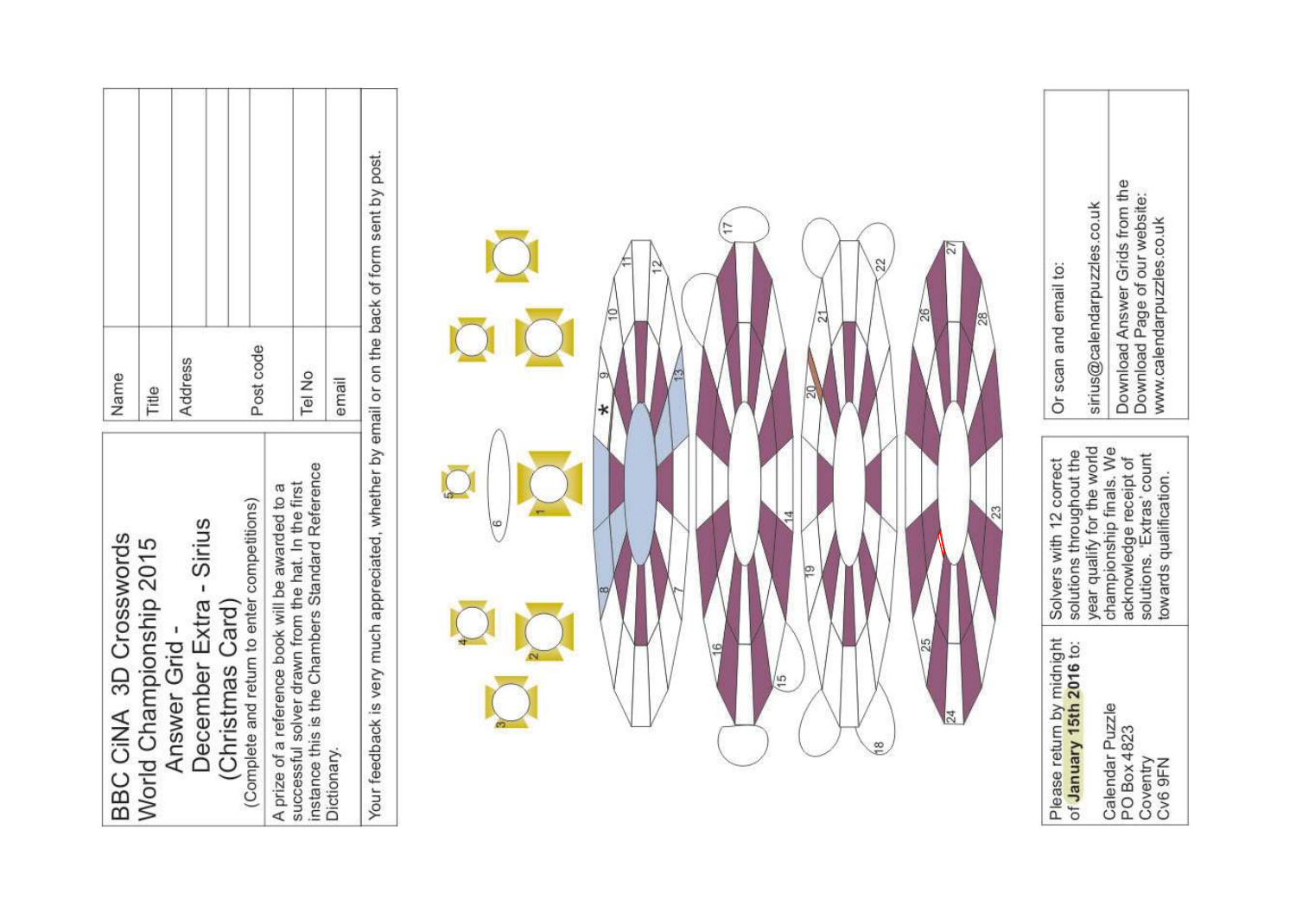| Name                   | Title                   | Post code<br>Address<br>December Extra - Sirius                                | Tel No<br>instance this is the Chambers Standard Reference                                             | email       | Your feedback is very much appreciated, whether by email or on the back of form sent by post. |  | 계             | 22<br>25       | 23 | Or scan and email to:<br>solutions throughout the<br>Solvers with 12 correct | Download Answer Grids from the<br>sirius@calendarpuzzles.co.uk<br>year qualify for the world<br>championship finals. We | Download Page of our website:<br>www.calendarpuzzles.co.uk<br>solutions. 'Extras' count<br>acknowledge receipt of<br>towards qualification. |
|------------------------|-------------------------|--------------------------------------------------------------------------------|--------------------------------------------------------------------------------------------------------|-------------|-----------------------------------------------------------------------------------------------|--|---------------|----------------|----|------------------------------------------------------------------------------|-------------------------------------------------------------------------------------------------------------------------|---------------------------------------------------------------------------------------------------------------------------------------------|
| BBC CINA 3D Crosswords | World Championship 2015 | (Complete and return to enter competitions)<br>(Christmas Card)<br>Answer Grid | successful solver drawn from the hat. In the first<br>A prize of a reference book will be awarded to a | Dictionary. |                                                                                               |  | $\frac{5}{1}$ | $\frac{8}{10}$ |    | Please return by midnight<br>of January 15th 2016 to:                        | Calendar Puzzle                                                                                                         | PO Box 4823<br>Coventry<br>Cv6 9FN                                                                                                          |